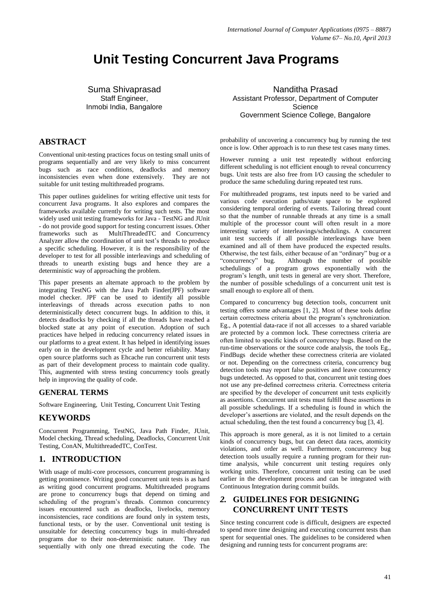# **Unit Testing Concurrent Java Programs**

Suma Shivaprasad Staff Engineer, Inmobi India, Bangalore

## **ABSTRACT**

Conventional unit-testing practices focus on testing small units of programs sequentially and are very likely to miss concurrent bugs such as race conditions, deadlocks and memory inconsistencies even when done extensively. They are not inconsistencies even when done extensively. suitable for unit testing multithreaded programs.

This paper outlines guidelines for writing effective unit tests for concurrent Java programs. It also explores and compares the frameworks available currently for writing such tests. The most widely used unit testing frameworks for Java - TestNG and JUnit - do not provide good support for testing concurrent issues. Other frameworks such as MultiThreadedTC and Concurrency MultiThreadedTC and Concurrency Analyzer allow the coordination of unit test's threads to produce a specific scheduling. However, it is the responsibility of the developer to test for all possible interleavings and scheduling of threads to unearth existing bugs and hence they are a deterministic way of approaching the problem.

This paper presents an alternate approach to the problem by integrating TestNG with the Java Path Finder(JPF) software model checker. JPF can be used to identify all possible interleavings of threads across execution paths to non deterministically detect concurrent bugs. In addition to this, it detects deadlocks by checking if all the threads have reached a blocked state at any point of execution. Adoption of such practices have helped in reducing concurrency related issues in our platforms to a great extent. It has helped in identifying issues early on in the development cycle and better reliability. Many open source platforms such as Ehcache run concurrent unit tests as part of their development process to maintain code quality. This, augmented with stress testing concurrency tools greatly help in improving the quality of code.

#### **GENERAL TERMS**

Software Engineering, Unit Testing, Concurrent Unit Testing

## **KEYWORDS**

Concurrent Programming, TestNG, Java Path Finder, JUnit, Model checking, Thread scheduling, Deadlocks, Concurrent Unit Testing, ConAN, MultithreadedTC, ConTest.

#### **1. INTRODUCTION**

With usage of multi-core processors, concurrent programming is getting prominence. Writing good concurrent unit tests is as hard as writing good concurrent programs. Multithreaded programs are prone to concurrency bugs that depend on timing and scheduling of the program's threads. Common concurrency issues encountered such as deadlocks, livelocks, memory inconsistencies, race conditions are found only in system tests, functional tests, or by the user. Conventional unit testing is unsuitable for detecting concurrency bugs in multi-threaded programs due to their non-deterministic nature. They run sequentially with only one thread executing the code. The

Nanditha Prasad Assistant Professor, Department of Computer **Science** Government Science College, Bangalore

probability of uncovering a concurrency bug by running the test once is low. Other approach is to run these test cases many times.

However running a unit test repeatedly without enforcing different scheduling is not efficient enough to reveal concurrency bugs. Unit tests are also free from I/O causing the scheduler to produce the same scheduling during repeated test runs.

For multithreaded programs, test inputs need to be varied and various code execution paths/state space to be explored considering temporal ordering of events. Tailoring thread count so that the number of runnable threads at any time is a small multiple of the processor count will often result in a more interesting variety of interleavings/schedulings. A concurrent unit test succeeds if all possible interleavings have been examined and all of them have produced the expected results. Otherwise, the test fails, either because of an "ordinary" bug or a "concurrency" bug. Although the number of possible schedulings of a program grows exponentially with the program's length, unit tests in general are very short. Therefore, the number of possible schedulings of a concurrent unit test is small enough to explore all of them.

Compared to concurrency bug detection tools, concurrent unit testing offers some advantages [1, 2]. Most of these tools define certain correctness criteria about the program's synchronization. Eg., A potential data-race if not all accesses to a shared variable are protected by a common lock. These correctness criteria are often limited to specific kinds of concurrency bugs. Based on the run-time observations or the source code analysis, the tools Eg., FindBugs decide whether these correctness criteria are violated or not. Depending on the correctness criteria, concurrency bug detection tools may report false positives and leave concurrency bugs undetected. As opposed to that, concurrent unit testing does not use any pre-defined correctness criteria. Correctness criteria are specified by the developer of concurrent unit tests explicitly as assertions. Concurrent unit tests must fulfill these assertions in all possible schedulings. If a scheduling is found in which the developer's assertions are violated, and the result depends on the actual scheduling, then the test found a concurrency bug [3, 4].

This approach is more general, as it is not limited to a certain kinds of concurrency bugs, but can detect data races, atomicity violations, and order as well. Furthermore, concurrency bug detection tools usually require a running program for their runtime analysis, while concurrent unit testing requires only working units. Therefore, concurrent unit testing can be used earlier in the development process and can be integrated with Continuous Integration during commit builds.

# *2.* **GUIDELINES FOR DESIGNING CONCURRENT UNIT TESTS**

Since testing concurrent code is difficult, designers are expected to spend more time designing and executing concurrent tests than spent for sequential ones. The guidelines to be considered when designing and running tests for concurrent programs are: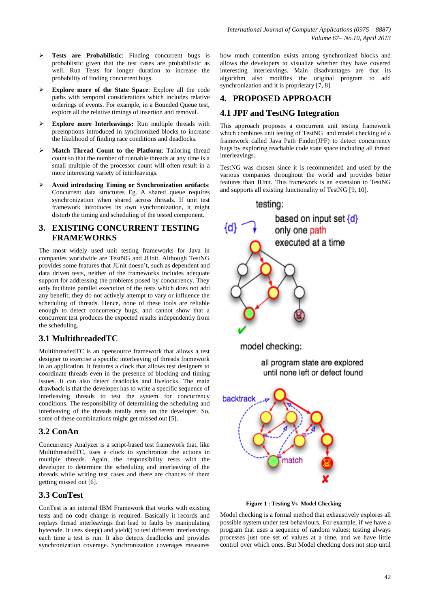- **Tests are Probabilistic**: Finding concurrent bugs is probablistic given that the test cases are probabilistic as well. Run Tests for longer duration to increase the probability of finding concurrent bugs.
- **Explore more of the State Space**: Explore all the code paths with temporal considerations which includes relative orderings of events. For example, in a Bounded Queue test, explore all the relative timings of insertion and removal.
- **Explore more Interleavings:** Run multiple threads with preemptions introduced in synchronized blocks to increase the likelihood of finding race conditions and deadlocks.
- **Match Thread Count to the Platform**: Tailoring thread count so that the number of runnable threads at any time is a small multiple of the processor count will often result in a more interesting variety of interleavings.
- **Avoid introducing Timing or Synchronization artifacts**: Concurrent data structures Eg. A shared queue requires synchronization when shared across threads. If unit test framework introduces its own synchronization, it might disturb the timing and scheduling of the tested component.

# **3. EXISTING CONCURRENT TESTING FRAMEWORKS**

The most widely used unit testing frameworks for Java in companies worldwide are TestNG and JUnit. Although TestNG provides some features that JUnit doesn't, such as dependent and data driven tests, neither of the frameworks includes adequate support for addressing the problems posed by concurrency. They only facilitate parallel execution of the tests which does not add any benefit; they do not actively attempt to vary or influence the scheduling of threads. Hence, none of these tools are reliable enough to detect concurrency bugs, and cannot show that a concurrent test produces the expected results independently from the scheduling.

# **3.1 MultithreadedTC**

MultithreadedTC is an opensource framework that allows a test designer to exercise a specific interleaving of threads framework in an application. It features a clock that allows test designers to coordinate threads even in the presence of blocking and timing issues. It can also detect deadlocks and livelocks. The main drawback is that the developer has to write a specific sequence of interleaving threads to test the system for concurrency conditions. The responsibility of determining the scheduling and interleaving of the threads totally rests on the developer. So, some of these combinations might get missed out [5].

# **3.2 ConAn**

Concurrency Analyzer is a script-based test framework that, like MultithreadedTC, uses a clock to synchronize the actions in multiple threads. Again, the responsibility rests with the developer to determine the scheduling and interleaving of the threads while writing test cases and there are chances of them getting missed out [6].

# **3.3 ConTest**

ConTest is an internal IBM Framework that works with existing tests and no code change is required. Basically it records and replays thread interleavings that lead to faults by manipulating bytecode. It uses sleep() and yield() to test different interleavings each time a test is run. It also detects deadlocks and provides synchronization coverage. Synchronization coverages measures how much contention exists among synchronized blocks and allows the developers to visualize whether they have covered interesting interleavings. Main disadvantages are that its algorithm also modifies the original program to add synchronization and it is proprietary [7, 8].

# **4. PROPOSED APPROACH**

# **4.1 JPF and TestNG Integration**

This approach proposes a concurrent unit testing framework which combines unit testing of TestNG and model checking of a framework called Java Path Finder(JPF) to detect concurrency bugs by exploring reachable code state space including all thread interleavings.

TestNG was chosen since it is recommended and used by the various companies throughout the world and provides better features than JUnit. This framework is an extension to TestNG and supports all existing functionality of TestNG [9, 10].



**Figure 1 : Testing Vs Model Checking**

Model checking is a formal method that exhaustively explores all possible system under test behaviours. For example, if we have a program that uses a sequence of random values: testing always processes just one set of values at a time, and we have little control over which ones. But Model checking does not stop until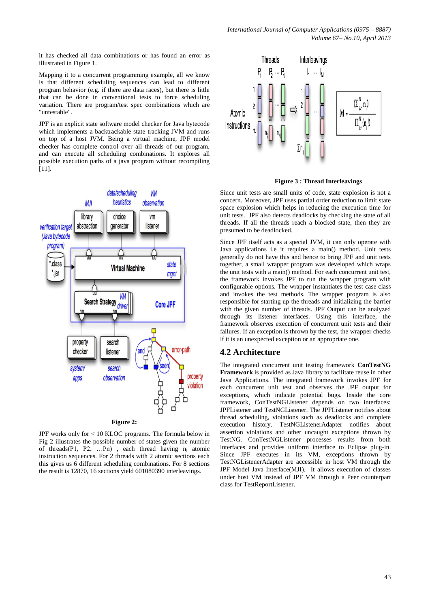it has checked all data combinations or has found an error as illustrated in Figure 1.

Mapping it to a concurrent programming example, all we know is that different scheduling sequences can lead to different program behavior (e.g. if there are data races), but there is little that can be done in conventional tests to force scheduling variation. There are program/test spec combinations which are "untestable".

JPF is an explicit state software model checker for Java bytecode which implements a backtrackable state tracking JVM and runs on top of a host JVM. Being a virtual machine, JPF model checker has complete control over all threads of our program, and can execute all scheduling combinations. It explores all possible execution paths of a java program without recompiling [11].



JPF works only for < 10 KLOC programs. The formula below in Fig 2 illustrates the possible number of states given the number of threads(P1, P2, ...Pn), each thread having  $n_i$  atomic instruction sequences. For 2 threads with 2 atomic sections each this gives us 6 different scheduling combinations. For 8 sections the result is 12870, 16 sections yield 601080390 interleavings.



**Figure 3 : Thread Interleavings**

Since unit tests are small units of code, state explosion is not a concern. Moreover, JPF uses partial order reduction to limit state space explosion which helps in reducing the execution time for unit tests. JPF also detects deadlocks by checking the state of all threads. If all the threads reach a blocked state, then they are presumed to be deadlocked.

Since JPF itself acts as a special JVM, it can only operate with Java applications i.e it requires a main() method. Unit tests generally do not have this and hence to bring JPF and unit tests together, a small wrapper program was developed which wraps the unit tests with a main() method. For each concurrent unit test, the framework invokes JPF to run the wrapper program with configurable options. The wrapper instantiates the test case class and invokes the test methods. The wrapper program is also responsible for starting up the threads and initializing the barrier with the given number of threads. JPF Output can be analyzed through its listener interfaces. Using this interface, the framework observes execution of concurrent unit tests and their failures. If an exception is thrown by the test, the wrapper checks if it is an unexpected exception or an appropriate one.

## **4.2 Architecture**

The integrated concurrent unit testing framework **ConTestNG Framework** is provided as Java library to facilitate reuse in other Java Applications. The integrated framework invokes JPF for each concurrent unit test and observes the JPF output for exceptions, which indicate potential bugs. Inside the core framework, ConTestNGListener depends on two interfaces: JPFListener and TestNGListener. The JPFListener notifies about thread scheduling, violations such as deadlocks and complete execution history. TestNGListenerAdapter notifies about assertion violations and other uncaught exceptions thrown by TestNG. ConTestNGListener processes results from both interfaces and provides uniform interface to Eclipse plug-in. Since JPF executes in its VM, exceptions thrown by TestNGListenerAdapter are accessible in host VM through the JPF Model Java Interface(MJI). It allows execution of classes under host VM instead of JPF VM through a Peer counterpart class for TestReportListener.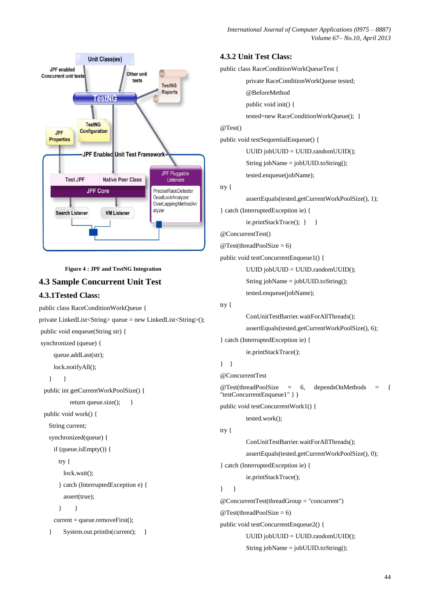*International Journal of Computer Applications (0975 – 8887) Volume 67– No.10, April 2013*



**Figure 4 : JPF and TestNG Integration**

# **4.3 Sample Concurrent Unit Test**

### **4.3.1Tested Class:**

```
public class RaceConditionWorkQueue {
private LinkedList<String> queue = new LinkedList<String>();
public void enqueue(String str) {
synchronized (queue) {
      queue.addLast(str);
      lock.notifyAll();
    } }
  public int getCurrentWorkPoolSize() {
           return queue.size(); }
   public void work() {
    String current;
    synchronized(queue) {
      if (queue.isEmpty()) {
        try {
          lock.wait();
        } catch (InterruptedException e) {
          assert(true);
        } }
     current = queue.removeFirst();
    } System.out.println(current); }
```
#### **4.3.2 Unit Test Class:**

public class RaceConditionWorkQueueTest {

private RaceConditionWorkQueue tested; @BeforeMethod

```
public void init() {
```
tested=new RaceConditionWorkQueue(); }

#### @Test()

public void testSequentialEnqueue() {

UUID jobUUID = UUID.randomUUID();

String jobName = jobUUID.toString();

tested.enqueue(jobName);

# try {

assertEquals(tested.getCurrentWorkPoolSize(), 1);

} catch (InterruptedException ie) {

ie.printStackTrace(); } }

@ConcurrentTest()

```
@Test(threadPoolSize = 6)
```
public void testConcurrentEnqueue1() {

UUID jobUUID = UUID.randomUUID();

String jobName = jobUUID.toString();

tested.enqueue(jobName);

#### try {

ConUnitTestBarrier.waitForAllThreads(); assertEquals(tested.getCurrentWorkPoolSize(), 6); } catch (InterruptedException ie) {

ie.printStackTrace();

```
} }
```
@ConcurrentTest

```
@Test(threadPoolSize = 6, dependsOnMethods = {
"testConcurrentEnqueue1" } )
public void testConcurrentWork1() {
```
tested.work();

```
try {
```
ConUnitTestBarrier.waitForAllThreads();

assertEquals(tested.getCurrentWorkPoolSize(), 0);

} catch (InterruptedException ie) {

ie.printStackTrace();

# } }

@ConcurrentTest(threadGroup = "concurrent")  $@Test$ (threadPoolSize = 6) public void testConcurrentEnqueue2() { UUID jobUUID = UUID.randomUUID();

String jobName = jobUUID.toString();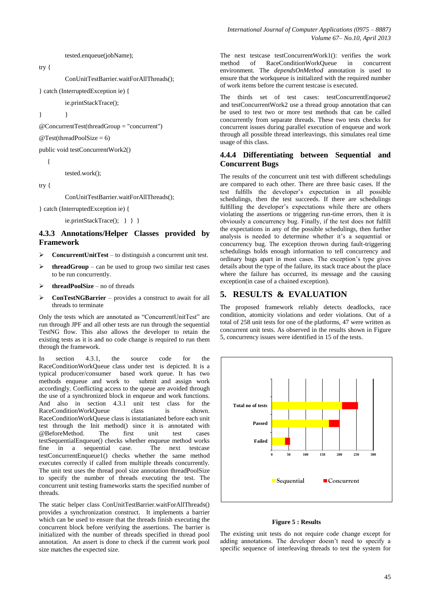tested.enqueue(jobName);

try {

ConUnitTestBarrier.waitForAllThreads();

} catch (InterruptedException ie) {

ie.printStackTrace();

} }

@ConcurrentTest(threadGroup = "concurrent")

 $@Test$ (threadPoolSize = 6)

public void testConcurrentWork2()

{

tested.work();

try {

ConUnitTestBarrier.waitForAllThreads();

} catch (InterruptedException ie) {

```
ie.printStackTrace(); } } }
```
#### **4.3.3 Annotations/Helper Classes provided by Framework**

- **ConcurrentUnitTest** to distinguish a concurrent unit test.
- **threadGroup** can be used to group two similar test cases to be run concurrently.
- **threadPoolSize** no of threads
- **ConTestNGBarrier** provides a construct to await for all threads to terminate

Only the tests which are annotated as "ConcurrentUnitTest" are run through JPF and all other tests are run through the sequential TestNG flow. This also allows the developer to retain the existing tests as it is and no code change is required to run them through the framework.

In section 4.3.1, the source code for the RaceConditionWorkQueue class under test is depicted. It is a typical producer/consumer based work queue. It has two methods enqueue and work to submit and assign work accordingly. Conflicting access to the queue are avoided through the use of a synchronized block in enqueue and work functions. And also in section 4.3.1 unit test class for the RaceConditionWorkQueue class is shown. RaceConditionWorkQueue class is instatianiated before each unit test through the Init method() since it is annotated with @BeforeMethod. The first unit test cases testSequentialEnqueue() checks whether enqueue method works fine in a sequential case. The next testcase testConcurrentEnqueue1() checks whether the same method executes correctly if called from multiple threads concurrently. The unit test uses the thread pool size annotation threadPoolSize to specify the number of threads executing the test. The concurrent unit testing frameworks starts the specified number of threads.

The static helper class ConUnitTestBarrier.waitForAllThreads() provides a synchronization construct. It implements a barrier which can be used to ensure that the threads finish executing the concurrent block before verifying the assertions. The barrier is initialized with the number of threads specified in thread pool annotation. An assert is done to check if the current work pool size matches the expected size.

The next testcase testConcurrentWork1(): verifies the work<br>method of RaceConditionWorkOueue in concurrent method of RaceConditionWorkQueue in concurrent environment. The *dependsOnMethod* annotation is used to ensure that the workqueue is initialized with the required number of work items before the current testcase is executed.

The thirds set of test cases: testConcurrentEnqueue2 and testConcurrentWork2 use a thread group annotation that can be used to test two or more test methods that can be called concurrently from separate threads. These two tests checks for concurrent issues during parallel execution of enqueue and work through all possible thread interleavings. this simulates real time usage of this class.

#### **4.4.4 Differentiating between Sequential and Concurrent Bugs**

The results of the concurrent unit test with different schedulings are compared to each other. There are three basic cases. If the test fulfills the developer's expectation in all possible schedulings, then the test succeeds. If there are schedulings fulfilling the developer's expectations while there are others violating the assertions or triggering run-time errors, then it is obviously a concurrency bug. Finally, if the test does not fulfill the expectations in any of the possible schedulings, then further analysis is needed to determine whether it's a sequential or concurrency bug. The exception thrown during fault-triggering schedulings holds enough information to tell concurrency and ordinary bugs apart in most cases. The exception's type gives details about the type of the failure, its stack trace about the place where the failure has occurred, its message and the causing exception(in case of a chained exception).

#### **5. RESULTS & EVALUATION**

The proposed framework reliably detects deadlocks, race condition, atomicity violations and order violations. Out of a total of 258 unit tests for one of the platforms, 47 were written as concurrent unit tests. As observed in the results shown in Figure 5, concurrency issues were identified in 15 of the tests.



#### **Figure 5 : Results**

The existing unit tests do not require code change except for adding annotations. The developer doesn't need to specify a specific sequence of interleaving threads to test the system for